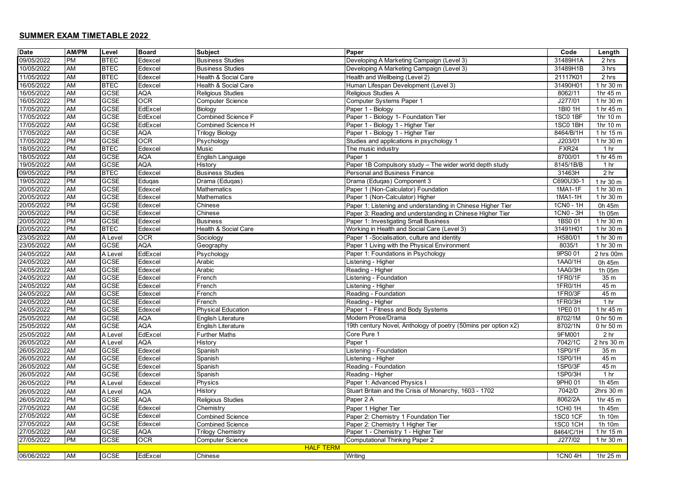## **SUMMER EXAM TIMETABLE 2022**

| <b>Date</b>      | <b>AM/PM</b> | Level       | <b>Board</b> | <b>Subject</b>            | Paper                                                          | Code              | Length                          |
|------------------|--------------|-------------|--------------|---------------------------|----------------------------------------------------------------|-------------------|---------------------------------|
| 09/05/2022       | <b>PM</b>    | <b>BTEC</b> | Edexcel      | <b>Business Studies</b>   | Developing A Marketing Campaign (Level 3)                      | 31489H1A          | 2 hrs                           |
| 10/05/2022       | AM           | <b>BTEC</b> | Edexcel      | <b>Business Studies</b>   | Developing A Marketing Campaign (Level 3)                      | 31489H1B          | 3 hrs                           |
| 11/05/2022       | <b>AM</b>    | <b>BTEC</b> | Edexcel      | Health & Social Care      | Health and Wellbeing (Level 2)                                 | 21117K01          | 2 <sub>hrs</sub>                |
| 16/05/2022       | AM           | <b>BTEC</b> | Edexcel      | Health & Social Care      | Human Lifespan Development (Level 3)                           | 31490H01          | 1 hr 30 m                       |
| 16/05/2022       | AM           | GCSE        | <b>AQA</b>   | Religious Studies         | Religious Studies A                                            | 8062/11           | 1hr 45 m                        |
| 16/05/2022       | PM           | GCSE        | OCR          | <b>Computer Science</b>   | Computer Systems Paper 1                                       | J277/01           | 1 hr 30 m                       |
| 17/05/2022       | AM           | GCSE        | EdExcel      | Biology                   | Paper 1 - Biology                                              | 1BI0 1H           | 1 hr 45 m                       |
| 17/05/2022       | AM           | <b>GCSE</b> | EdExcel      | <b>Combined Science F</b> | Paper 1 - Biology 1- Foundation Tier                           | 1SC0 1BF          | 1hr 10 m                        |
| 17/05/2022       | AM           | <b>GCSE</b> | EdExcel      | Combined Science H        | Paper 1 - Biology 1 - Higher Tier                              | 1SC0 1BH          | 1hr 10 m                        |
| 17/05/2022       | AM           | <b>GCSE</b> | <b>AQA</b>   | <b>Trilogy Biology</b>    | Paper 1 - Biology 1 - Higher Tier                              | 8464/B/1H         | 1 hr $15m$                      |
| 17/05/2022       | PM           | <b>GCSE</b> | <b>OCR</b>   | Psychology                | Studies and applications in psychology 1                       | J203/01           | 1 hr 30 m                       |
| 18/05/2022       | <b>PM</b>    | <b>BTEC</b> | Edexcel      | Music                     | The music industry                                             | FXR <sub>24</sub> | 1 <sub>hr</sub>                 |
| 18/05/2022       | <b>AM</b>    | GCSE        | <b>AQA</b>   | English Language          | Paper 1                                                        | 8700/01           | 1 hr 45 m                       |
| 19/05/2022       | <b>AM</b>    | GCSE        | <b>AQA</b>   | <b>History</b>            | Paper 1B Compulsory study - The wider world depth study        | 8145/1B/B         | 1 hr                            |
| 09/05/2022       | PM           | <b>BTEC</b> | Edexcel      | <b>Business Studies</b>   | Personal and Business Finance                                  | 31463H            | 2 <sub>hr</sub>                 |
| 19/05/2022       | <b>PM</b>    | <b>GCSE</b> | Eduqas       | Drama (Edugas)            | Drama (Edugas) Component 3                                     | C690U30-1         | 1 hr 30 m                       |
| 20/05/2022       | <b>AM</b>    | <b>GCSE</b> | Edexcel      | Mathematics               | Paper 1 (Non-Calculator) Foundation                            | 1MA1-1F           | 1 hr 30 m                       |
| 20/05/2022       | <b>AM</b>    | <b>GCSE</b> | Edexcel      | Mathematics               | Paper 1 (Non-Calculator) Higher                                | 1MA1-1H           | 1 hr 30 m                       |
| 20/05/2022       | <b>PM</b>    | <b>GCSE</b> | Edexcel      | Chinese                   | Paper 1: Listening and understanding in Chinese Higher Tier    | 1CN0 - 1H         | 0h 45m                          |
| 20/05/2022       | <b>PM</b>    | GCSE        | Edexcel      | Chinese                   | Paper 3: Reading and understanding in Chinese Higher Tier      | 1CN0 - 3H         | 1h 05m                          |
| 20/05/2022       | <b>PM</b>    | GCSE        | Edexcel      | <b>Business</b>           | Paper 1: Investigating Small Business                          | 1BS0 01           | 1 hr 30 m                       |
| 20/05/2022       | <b>PM</b>    | <b>BTEC</b> | Edexcel      | Health & Social Care      | Working in Health and Social Care (Level 3)                    | 31491H01          | 1 hr 30 m                       |
| 23/05/2022       | <b>AM</b>    | A Level     | <b>OCR</b>   | Sociology                 | Paper 1 -Socialisation, culture and identity                   | H580/01           | 1 hr 30 m                       |
| 23/05/2022       | AM           | <b>GCSE</b> | AQA          | Geography                 | Paper 1 Living with the Physical Environment                   | 8035/1            | 1 hr 30 m                       |
| 24/05/2022       | <b>AM</b>    | A Level     | EdExcel      | Psychology                | Paper 1: Foundations in Psychology                             | 9PS0 01           | 2 hrs 00m                       |
| 24/05/2022       | <b>AM</b>    | <b>GCSE</b> | Edexcel      | Arabic                    | Listening - Higher                                             | 1AA0/1H           | 0h 45m                          |
| 24/05/2022       | <b>AM</b>    | GCSE        | Edexcel      | Arabic                    | Reading - Higher                                               | 1AA0/3H           | $\overline{1}h$ 05m             |
| 24/05/2022       | <b>AM</b>    | <b>GCSE</b> | Edexcel      | French                    | Listening - Foundation                                         | 1FR0/1F           | 35 <sub>m</sub>                 |
| 24/05/2022       | <b>AM</b>    | GCSE        | Edexcel      | French                    | Listening - Higher                                             | 1FR0/1H           | 45 m                            |
| 24/05/2022       | AM           | <b>GCSE</b> | Edexcel      | French                    | Reading - Foundation                                           | 1FR0/3F           | 45 m                            |
| 24/05/2022       | AM           | GCSE        | Edexcel      | French                    | Reading - Higher                                               | 1FR0/3H           | 1 <sub>hr</sub>                 |
| 24/05/2022       | PM           | GCSE        | Edexcel      | Physical Education        | Paper 1 - Fitness and Body Systems                             | 1PE0 01           | 1 hr 45 m                       |
| 25/05/2022       | AM           | <b>GCSE</b> | AQA          | English Literature        | Modern Prose/Drama                                             | 8702/1M           | 0 hr 50 m                       |
| 25/05/2022       | <b>AM</b>    | <b>GCSE</b> | <b>AQA</b>   | English Literature        | 19th century Novel, Anthology of poetry (50mins per option x2) | 8702/1N           | 0 <sub>hr</sub> 50 <sub>m</sub> |
| 25/05/2022       | AM           | A Level     | EdExcel      | <b>Further Maths</b>      | Core Pure 1                                                    | 9FM001            | 2 <sub>hr</sub>                 |
| 26/05/2022       | <b>AM</b>    | A Level     | <b>AQA</b>   | History                   | Paper 1                                                        | 7042/1C           | 2 hrs 30 m                      |
| 26/05/2022       | <b>AM</b>    | <b>GCSE</b> | Edexcel      | Spanish                   | Listening - Foundation                                         | 1SP0/1F           | 35 <sub>m</sub>                 |
| 26/05/2022       | AM           | GCSE        | Edexcel      | Spanish                   | Listening - Higher                                             | 1SP0/1H           | 45 m                            |
| 26/05/2022       | AM           | GCSE        | Edexcel      | Spanish                   | Reading - Foundation                                           | 1SP0/3F           | 45 m                            |
| 26/05/2022       | AM           | GCSE        | Edexcel      | Spanish                   | Reading - Higher                                               | 1SP0/3H           | 1 <sub>hr</sub>                 |
| 26/05/2022       | <b>PM</b>    | A Level     | Edexcel      | Physics                   | Paper 1: Advanced Physics I                                    | 9PH0 01           | 1h 45m                          |
| 26/05/2022       | AM           | A Level     | AQA          | History                   | Stuart Britain and the Crisis of Monarchy, 1603 - 1702         | 7042/D            | 2hrs 30 m                       |
| 26/05/2022       | PM           | <b>GCSE</b> | <b>AQA</b>   | Religious Studies         | Paper 2 A                                                      | 8062/2A           | 1hr 45 m                        |
| 27/05/2022       | AM           | GCSE        | Edexcel      | Chemistry                 | Paper 1 Higher Tier                                            | 1CH0 1H           | 1h 45m                          |
| 27/05/2022       | <b>AM</b>    | <b>GCSE</b> | Edexcel      | <b>Combined Science</b>   | Paper 2: Chemistry 1 Foundation Tier                           | 1SC0 1CF          | 1h 10m                          |
| 27/05/2022       | <b>AM</b>    | <b>GCSE</b> | Edexcel      | <b>Combined Science</b>   | Paper 2: Chemistry 1 Higher Tier                               | 1SC0 1CH          | 1h 10m                          |
| 27/05/2022       | <b>AM</b>    | <b>GCSE</b> | <b>AQA</b>   | <b>Trilogy Chemistry</b>  | Paper 1 - Chemistry 1 - Higher Tier                            | 8464/C/1H         | 1 hr 15 m                       |
| 27/05/2022       | PM           | GCSE        | <b>OCR</b>   | <b>Computer Science</b>   | <b>Computational Thinking Paper 2</b>                          | J277/02           | 1 hr 30 m                       |
| <b>HALF TERM</b> |              |             |              |                           |                                                                |                   |                                 |
| 06/06/2022       | <b>AM</b>    | <b>GCSE</b> | EdExcel      | Chinese                   | Writing                                                        | 1CN0 4H           | 1hr 25 m                        |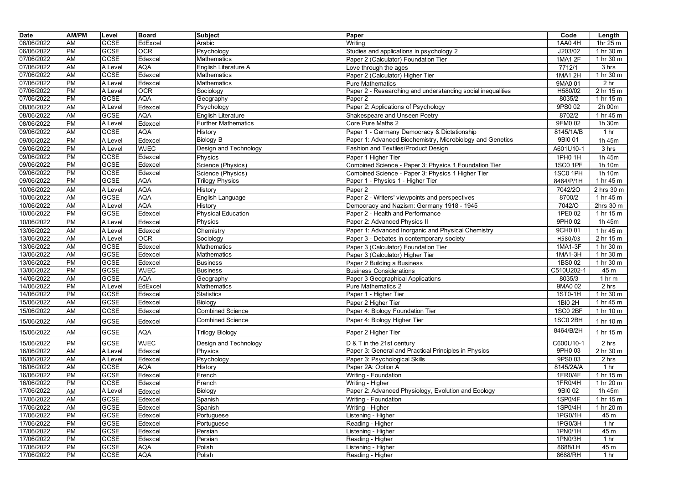| <b>Date</b> | AM/PM     | Level       | Board       | <b>Subject</b>             | Paper                                                       | Code       | Length                          |
|-------------|-----------|-------------|-------------|----------------------------|-------------------------------------------------------------|------------|---------------------------------|
| 06/06/2022  | <b>AM</b> | <b>GCSE</b> | EdExcel     | Arabic                     | Writing                                                     | 1AA0 4H    | 1hr 25 m                        |
| 06/06/2022  | PM        | GCSE        | <b>OCR</b>  | Psychology                 | Studies and applications in psychology 2                    | J203/02    | 1 hr 30 m                       |
| 07/06/2022  | AM        | <b>GCSE</b> | Edexcel     | Mathematics                | Paper 2 (Calculator) Foundation Tier                        | 1MA1 2F    | 1 hr 30 m                       |
| 07/06/2022  | AM        | A Level     | <b>AQA</b>  | English Literature A       | Love through the ages                                       | 7712/1     | 3 hrs                           |
| 07/06/2022  | AM        | <b>GCSE</b> | Edexcel     | Mathematics                | Paper 2 (Calculator) Higher Tier                            | 1MA1 2H    | 1 hr 30 m                       |
| 07/06/2022  | PM        | A Level     | Edexcel     | <b>Mathematics</b>         | <b>Pure Mathematics</b>                                     | 9MA0 01    | 2 <sub>hr</sub>                 |
| 07/06/2022  | PM        | A Level     | <b>OCR</b>  | Sociology                  | Paper 2 - Researching and understanding social inequalities | H580/02    | 2 <sub>hr</sub> 15 <sub>m</sub> |
| 07/06/2022  | PM        | <b>GCSE</b> | <b>AQA</b>  | Geography                  | Paper <sub>2</sub>                                          | 8035/2     | 1 hr $15m$                      |
| 08/06/2022  | AM        | A Level     | Edexcel     | Psychology                 | Paper 2: Applications of Psychology                         | 9PS0 02    | 2h 00m                          |
| 08/06/2022  | <b>AM</b> | <b>GCSE</b> | AQA         | English Literature         | Shakespeare and Unseen Poetry                               | 8702/2     | 1 hr 45 m                       |
| 08/06/2022  | <b>PM</b> | A Level     | Edexcel     | <b>Further Mathematics</b> | Core Pure Maths 2                                           | 9FM0 02    | 1h 30m                          |
| 09/06/2022  | <b>AM</b> | <b>GCSE</b> | <b>AQA</b>  | History                    | Paper 1 - Germany Democracy & Dictationship                 | 8145/1A/B  | 1 <sub>hr</sub>                 |
| 09/06/2022  | PM        | A Level     | Edexcel     | <b>Biology B</b>           | Paper 1: Advanced Biochemistry, Microbiology and Genetics   | 9BI0 01    | 1h 45m                          |
| 09/06/2022  | PM        | A Level     | <b>WJEC</b> | Design and Technology      | Fashion and Textiles/Product Design                         | A601U10-1  | 3 hrs                           |
| 09/06/2022  | PM        | <b>GCSE</b> | Edexcel     | Physics                    | Paper 1 Higher Tier                                         | 1PH0 1H    | 1h 45m                          |
| 09/06/2022  | PM        | <b>GCSE</b> | Edexcel     | Science (Physics)          | Combined Science - Paper 3: Physics 1 Foundation Tier       | 1SC0 1PF   | 1h 10m                          |
| 09/06/2022  | PM        | GCSE        | Edexcel     | Science (Physics)          | Combined Science - Paper 3: Physics 1 Higher Tier           | 1SC0 1PH   | 1h 10m                          |
| 09/06/2022  | <b>PM</b> | <b>GCSE</b> | AQA         | <b>Trilogy Physics</b>     | Paper 1 - Physics 1 - Higher Tier                           | 8464/P/1H  | 1 hr 45 m                       |
| 10/06/2022  | AM        | A Level     | <b>AQA</b>  | History                    | Paper 2                                                     | 7042/20    | 2 hrs 30 m                      |
| 10/06/2022  | <b>AM</b> | <b>GCSE</b> | <b>AQA</b>  | English Language           | Paper 2 - Writers' viewpoints and perspectives              | 8700/2     | 1 hr 45 m                       |
| 10/06/2022  | <b>AM</b> | A Level     | <b>AQA</b>  | History                    | Democracy and Nazism: Germany 1918 - 1945                   | 7042/O     | 2hrs 30 m                       |
| 10/06/2022  | <b>PM</b> | <b>GCSE</b> | Edexcel     | <b>Physical Education</b>  | Paper 2 - Health and Performance                            | 1PE0 02    | 1 hr 15 m                       |
| 10/06/2022  | <b>PM</b> | A Level     | Edexcel     | Physics                    | Paper 2: Advanced Physics II                                | 9PH0 02    | 1h 45m                          |
| 13/06/2022  | AM        | A Level     | Edexcel     | Chemistry                  | Paper 1: Advanced Inorganic and Physical Chemistry          | 9CH0 01    | 1 hr 45 m                       |
| 13/06/2022  | <b>AM</b> | A Level     | <b>OCR</b>  | Sociology                  | Paper 3 - Debates in contemporary society                   | H580/03    | 2 <sub>hr</sub> 15 <sub>m</sub> |
| 13/06/2022  | <b>AM</b> | GCSE        | Edexcel     | Mathematics                | Paper 3 (Calculator) Foundation Tier                        | 1MA1-3F    | 1 hr 30 m                       |
| 13/06/2022  | <b>AM</b> | <b>GCSE</b> | Edexcel     | Mathematics                | Paper 3 (Calculator) Higher Tier                            | 1MA1-3H    | 1 hr 30 m                       |
| 13/06/2022  | PM        | <b>GCSE</b> | Edexcel     | <b>Business</b>            | Paper 2 Building a Business                                 | 1BS0 02    | 1 hr 30 m                       |
| 13/06/2022  | PM        | <b>GCSE</b> | <b>WJEC</b> | <b>Business</b>            | <b>Business Considerations</b>                              | C510U202-1 | 45 m                            |
| 14/06/2022  | <b>AM</b> | <b>GCSE</b> | <b>AQA</b>  | Geography                  | Paper 3 Geographical Applications                           | 8035/3     | 1 <sub>hr</sub>                 |
| 14/06/2022  | PM        | A Level     | EdExcel     | <b>Mathematics</b>         | <b>Pure Mathematics 2</b>                                   | 9MA0 02    | 2 <sub>hrs</sub>                |
| 14/06/2022  | <b>PM</b> | <b>GCSE</b> | Edexcel     | <b>Statistics</b>          | Paper 1 - Higher Tier                                       | 1ST0-1H    | 1 hr 30 m                       |
| 15/06/2022  | <b>AM</b> | <b>GCSE</b> | Edexcel     | Biology                    | Paper 2 Higher Tier                                         | 1BI0 2H    | 1 hr 45 m                       |
| 15/06/2022  | AM        | GCSE        | Edexcel     | <b>Combined Science</b>    | Paper 4: Biology Foundation Tier                            | 1SC0 2BF   | 1 hr 10 m                       |
|             |           |             |             |                            |                                                             |            |                                 |
| 15/06/2022  | AM        | GCSE        | Edexcel     | <b>Combined Science</b>    | Paper 4: Biology Higher Tier                                | 1SC0 2BH   | 1 hr 10 m                       |
| 15/06/2022  | AM        | <b>GCSE</b> | AQA         | <b>Trilogy Biology</b>     | Paper 2 Higher Tier                                         | 8464/B/2H  | 1 hr 15 m                       |
| 15/06/2022  | PM        | <b>GCSE</b> | <b>WJEC</b> | Design and Technology      | D & T in the 21st century                                   | C600U10-1  | 2 hrs                           |
| 16/06/2022  | AM        | A Level     | Edexcel     | Physics                    | Paper 3: General and Practical Principles in Physics        | 9PH0 03    | 2 hr 30 m                       |
| 16/06/2022  | <b>AM</b> | A Level     | Edexcel     | Psychology                 | Paper 3: Psychological Skills                               | 9PS0 03    | 2 hrs                           |
| 16/06/2022  | AM        | <b>GCSE</b> | <b>AQA</b>  | History                    | Paper 2A: Option A                                          | 8145/2A/A  | 1 <sub>hr</sub>                 |
| 16/06/2022  | PM        | <b>GCSE</b> | Edexcel     | French                     | Writing - Foundation                                        | 1FR0/4F    | 1 hr 15 m                       |
| 16/06/2022  | PM        | GCSE        | Edexcel     | French                     | Writing - Higher                                            | 1FR0/4H    | 1 hr 20 m                       |
| 17/06/2022  | AM        | A Level     | Edexcel     | Biology                    | Paper 2: Advanced Physiology, Evolution and Ecology         | 9BI0 02    | 1h 45m                          |
| 17/06/2022  | AM        | <b>GCSE</b> | Edexcel     | Spanish                    | Writing - Foundation                                        | 1SP0/4F    | 1 hr 15 m                       |
| 17/06/2022  | <b>AM</b> | <b>GCSE</b> | Edexcel     | Spanish                    | Writing - Higher                                            | 1SP0/4H    | 1 hr 20 m                       |
| 17/06/2022  | PM        | <b>GCSE</b> | Edexcel     | Portuguese                 | Listening - Higher                                          | 1PG0/1H    | 45 m                            |
| 17/06/2022  | <b>PM</b> | <b>GCSE</b> | Edexcel     | Portuguese                 | Reading - Higher                                            | 1PG0/3H    | 1 hr                            |
| 17/06/2022  | PM        | GCSE        | Edexcel     | Persian                    | Listening - Higher                                          | 1PN0/1H    | 45 m                            |
| 17/06/2022  | PM        | GCSE        | Edexcel     | Persian                    | Reading - Higher                                            | 1PN0/3H    | 1 hr                            |
| 17/06/2022  | PM        | <b>GCSE</b> | <b>AQA</b>  | Polish                     | Listening - Higher                                          | 8688/LH    | 45 m                            |
| 17/06/2022  | PM        | <b>GCSE</b> | <b>AQA</b>  | Polish                     | Reading - Higher                                            | 8688/RH    | 1 hr                            |